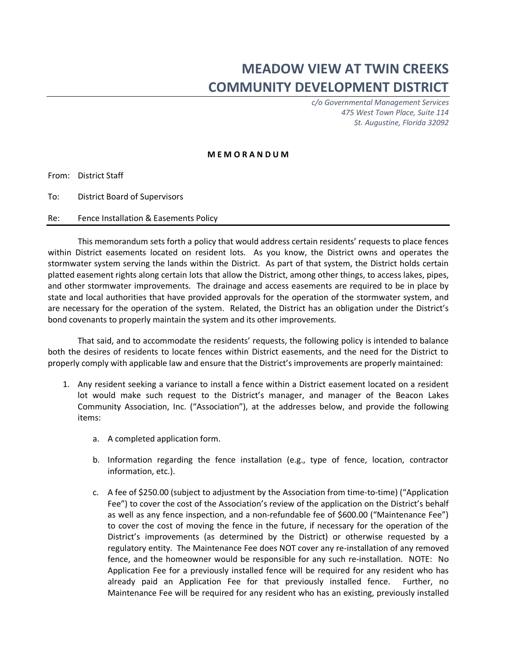## **MEADOW VIEW AT TWIN CREEKS COMMUNITY DEVELOPMENT DISTRICT**

*c/o Governmental Management Services 475 West Town Place, Suite 114 St. Augustine, Florida 32092*

## **M E M O R A N D U M**

From: District Staff

To: District Board of Supervisors

Re: Fence Installation & Easements Policy

This memorandum sets forth a policy that would address certain residents' requests to place fences within District easements located on resident lots. As you know, the District owns and operates the stormwater system serving the lands within the District. As part of that system, the District holds certain platted easement rights along certain lots that allow the District, among other things, to access lakes, pipes, and other stormwater improvements. The drainage and access easements are required to be in place by state and local authorities that have provided approvals for the operation of the stormwater system, and are necessary for the operation of the system. Related, the District has an obligation under the District's bond covenants to properly maintain the system and its other improvements.

That said, and to accommodate the residents' requests, the following policy is intended to balance both the desires of residents to locate fences within District easements, and the need for the District to properly comply with applicable law and ensure that the District's improvements are properly maintained:

- 1. Any resident seeking a variance to install a fence within a District easement located on a resident lot would make such request to the District's manager, and manager of the Beacon Lakes Community Association, Inc. ("Association"), at the addresses below, and provide the following items:
	- a. A completed application form.
	- b. Information regarding the fence installation (e.g., type of fence, location, contractor information, etc.).
	- c. A fee of \$250.00 (subject to adjustment by the Association from time-to-time) ("Application Fee") to cover the cost of the Association's review of the application on the District's behalf as well as any fence inspection, and a non-refundable fee of \$600.00 ("Maintenance Fee") to cover the cost of moving the fence in the future, if necessary for the operation of the District's improvements (as determined by the District) or otherwise requested by a regulatory entity. The Maintenance Fee does NOT cover any re-installation of any removed fence, and the homeowner would be responsible for any such re-installation. NOTE: No Application Fee for a previously installed fence will be required for any resident who has already paid an Application Fee for that previously installed fence. Further, no Maintenance Fee will be required for any resident who has an existing, previously installed